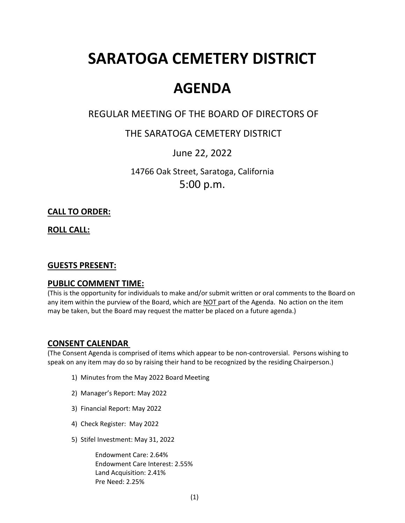# **SARATOGA CEMETERY DISTRICT**

## **AGENDA**

## REGULAR MEETING OF THE BOARD OF DIRECTORS OF

## THE SARATOGA CEMETERY DISTRICT

## June 22, 2022

14766 Oak Street, Saratoga, California 5:00 p.m.

#### **CALL TO ORDER:**

**ROLL CALL:**

#### **GUESTS PRESENT:**

#### **PUBLIC COMMENT TIME:**

(This is the opportunity for individuals to make and/or submit written or oral comments to the Board on any item within the purview of the Board, which are NOT part of the Agenda. No action on the item may be taken, but the Board may request the matter be placed on a future agenda.)

#### **CONSENT CALENDAR**

(The Consent Agenda is comprised of items which appear to be non-controversial. Persons wishing to speak on any item may do so by raising their hand to be recognized by the residing Chairperson.)

- 1) Minutes from the May 2022 Board Meeting
- 2) Manager's Report: May 2022
- 3) Financial Report: May 2022
- 4) Check Register: May 2022
- 5) Stifel Investment: May 31, 2022

Endowment Care: 2.64% Endowment Care Interest: 2.55% Land Acquisition: 2.41% Pre Need: 2.25%